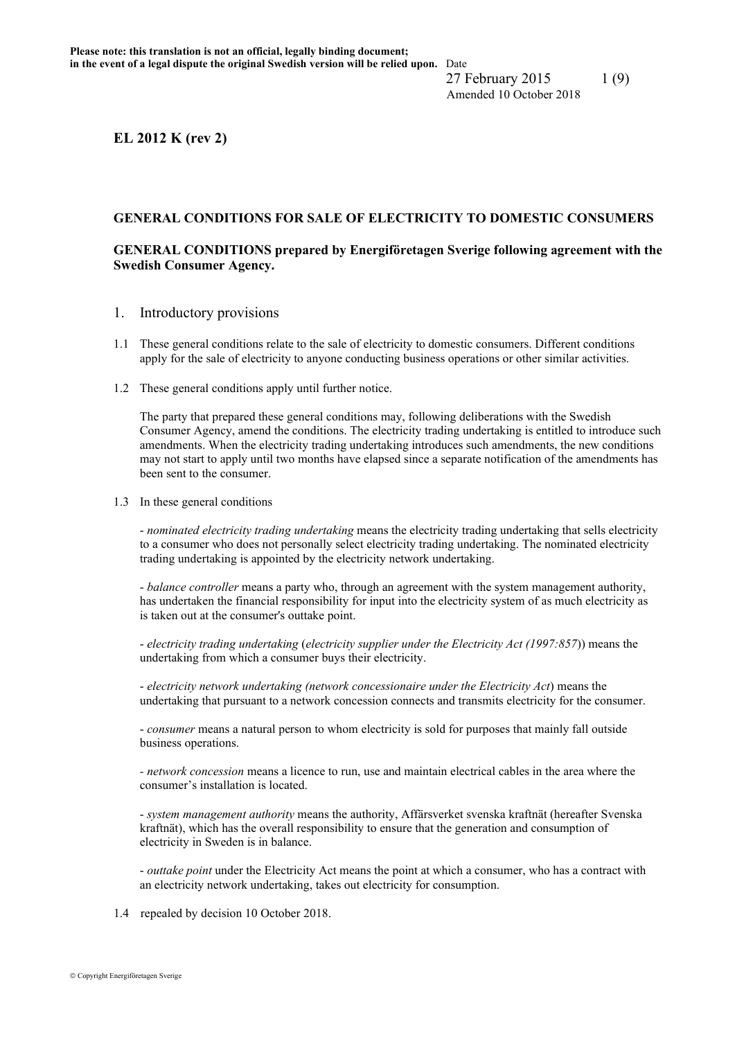**EL 2012 K (rev 2)**

#### **GENERAL CONDITIONS FOR SALE OF ELECTRICITY TO DOMESTIC CONSUMERS**

## **GENERAL CONDITIONS prepared by Energiföretagen Sverige following agreement with the Swedish Consumer Agency.**

- 1. Introductory provisions
- 1.1 These general conditions relate to the sale of electricity to domestic consumers. Different conditions apply for the sale of electricity to anyone conducting business operations or other similar activities.
- 1.2 These general conditions apply until further notice.

The party that prepared these general conditions may, following deliberations with the Swedish Consumer Agency, amend the conditions. The electricity trading undertaking is entitled to introduce such amendments. When the electricity trading undertaking introduces such amendments, the new conditions may not start to apply until two months have elapsed since a separate notification of the amendments has been sent to the consumer.

1.3 In these general conditions

- *nominated electricity trading undertaking* means the electricity trading undertaking that sells electricity to a consumer who does not personally select electricity trading undertaking. The nominated electricity trading undertaking is appointed by the electricity network undertaking.

- *balance controller* means a party who, through an agreement with the system management authority, has undertaken the financial responsibility for input into the electricity system of as much electricity as is taken out at the consumer's outtake point.

- *electricity trading undertaking* (*electricity supplier under the Electricity Act (1997:857*)) means the undertaking from which a consumer buys their electricity.

- *electricity network undertaking (network concessionaire under the Electricity Act*) means the undertaking that pursuant to a network concession connects and transmits electricity for the consumer.

- *consumer* means a natural person to whom electricity is sold for purposes that mainly fall outside business operations.

*- network concession* means a licence to run, use and maintain electrical cables in the area where the consumer's installation is located.

- *system management authority* means the authority, Affärsverket svenska kraftnät (hereafter Svenska kraftnät), which has the overall responsibility to ensure that the generation and consumption of electricity in Sweden is in balance.

- *outtake point* under the Electricity Act means the point at which a consumer, who has a contract with an electricity network undertaking, takes out electricity for consumption.

1.4 repealed by decision 10 October 2018.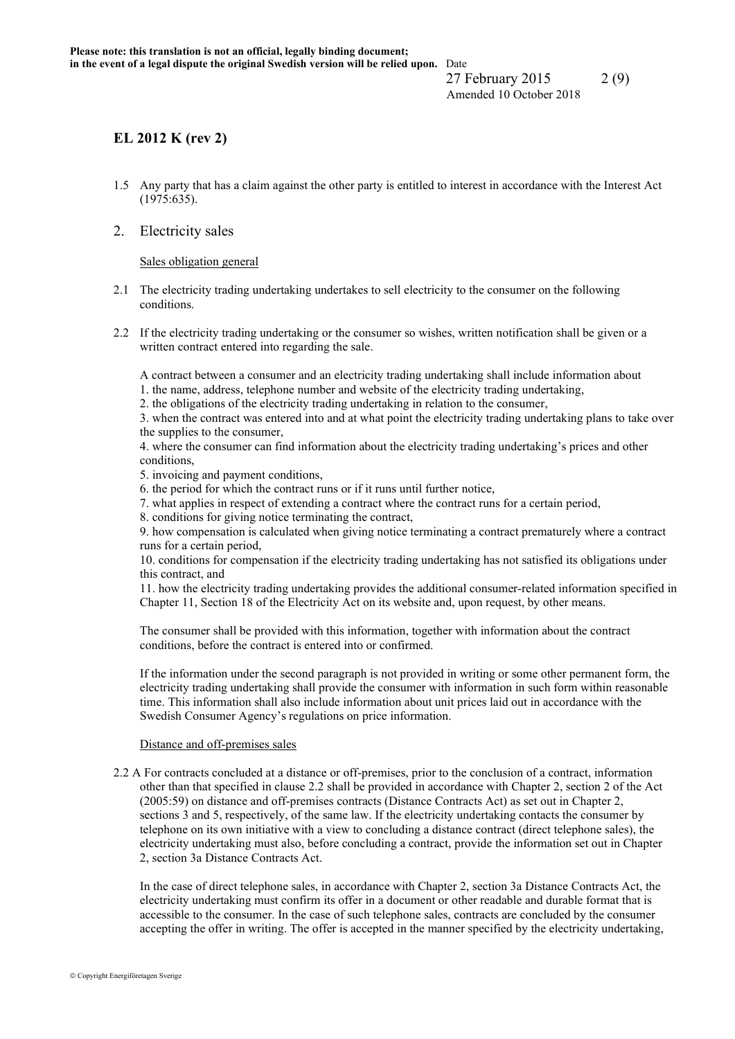27 February 2015 2(9) Amended 10 October 2018

## **EL 2012 K (rev 2)**

- 1.5 Any party that has a claim against the other party is entitled to interest in accordance with the Interest Act (1975:635).
- 2. Electricity sales

Sales obligation general

- 2.1 The electricity trading undertaking undertakes to sell electricity to the consumer on the following conditions.
- 2.2 If the electricity trading undertaking or the consumer so wishes, written notification shall be given or a written contract entered into regarding the sale.

A contract between a consumer and an electricity trading undertaking shall include information about

- 1. the name, address, telephone number and website of the electricity trading undertaking,
- 2. the obligations of the electricity trading undertaking in relation to the consumer,

3. when the contract was entered into and at what point the electricity trading undertaking plans to take over the supplies to the consumer,

4. where the consumer can find information about the electricity trading undertaking's prices and other conditions,

5. invoicing and payment conditions,

6. the period for which the contract runs or if it runs until further notice,

7. what applies in respect of extending a contract where the contract runs for a certain period,

8. conditions for giving notice terminating the contract,

9. how compensation is calculated when giving notice terminating a contract prematurely where a contract runs for a certain period,

10. conditions for compensation if the electricity trading undertaking has not satisfied its obligations under this contract, and

11. how the electricity trading undertaking provides the additional consumer-related information specified in Chapter 11, Section 18 of the Electricity Act on its website and, upon request, by other means.

The consumer shall be provided with this information, together with information about the contract conditions, before the contract is entered into or confirmed.

If the information under the second paragraph is not provided in writing or some other permanent form, the electricity trading undertaking shall provide the consumer with information in such form within reasonable time. This information shall also include information about unit prices laid out in accordance with the Swedish Consumer Agency's regulations on price information.

#### Distance and off-premises sales

2.2 A For contracts concluded at a distance or off-premises, prior to the conclusion of a contract, information other than that specified in clause 2.2 shall be provided in accordance with Chapter 2, section 2 of the Act (2005:59) on distance and off-premises contracts (Distance Contracts Act) as set out in Chapter 2, sections 3 and 5, respectively, of the same law. If the electricity undertaking contacts the consumer by telephone on its own initiative with a view to concluding a distance contract (direct telephone sales), the electricity undertaking must also, before concluding a contract, provide the information set out in Chapter 2, section 3a Distance Contracts Act.

In the case of direct telephone sales, in accordance with Chapter 2, section 3a Distance Contracts Act, the electricity undertaking must confirm its offer in a document or other readable and durable format that is accessible to the consumer. In the case of such telephone sales, contracts are concluded by the consumer accepting the offer in writing. The offer is accepted in the manner specified by the electricity undertaking,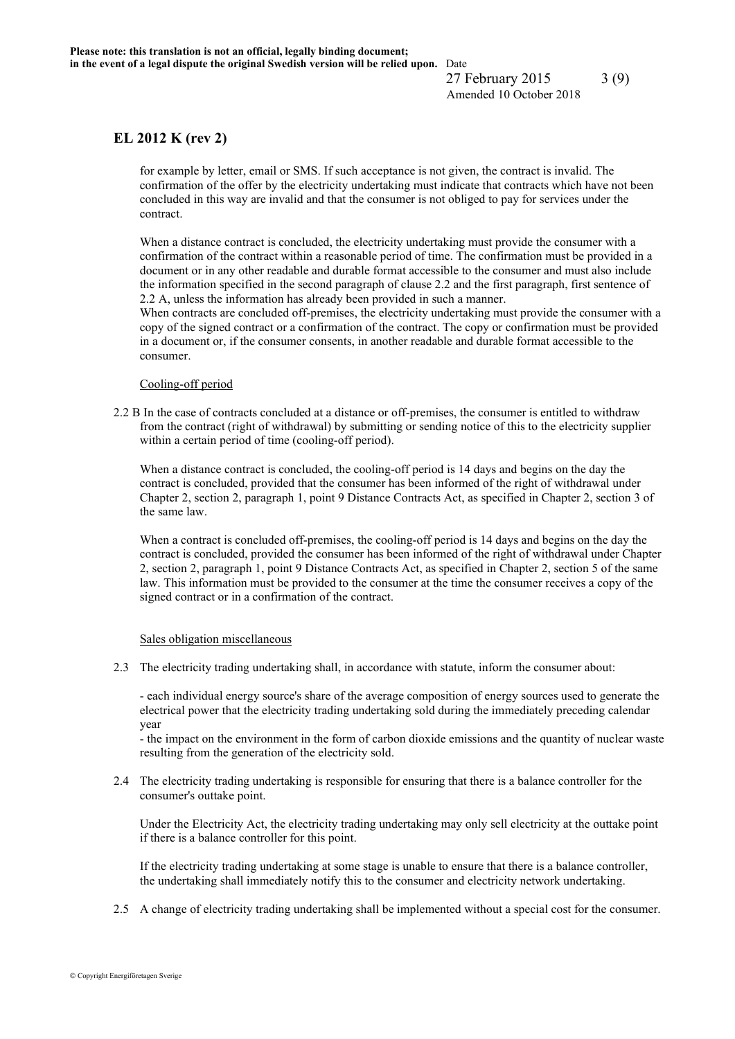27 February 2015 3(9) Amended 10 October 2018

## **EL 2012 K (rev 2)**

for example by letter, email or SMS. If such acceptance is not given, the contract is invalid. The confirmation of the offer by the electricity undertaking must indicate that contracts which have not been concluded in this way are invalid and that the consumer is not obliged to pay for services under the contract.

When a distance contract is concluded, the electricity undertaking must provide the consumer with a confirmation of the contract within a reasonable period of time. The confirmation must be provided in a document or in any other readable and durable format accessible to the consumer and must also include the information specified in the second paragraph of clause 2.2 and the first paragraph, first sentence of 2.2 A, unless the information has already been provided in such a manner.

When contracts are concluded off-premises, the electricity undertaking must provide the consumer with a copy of the signed contract or a confirmation of the contract. The copy or confirmation must be provided in a document or, if the consumer consents, in another readable and durable format accessible to the consumer.

#### Cooling-off period

2.2 B In the case of contracts concluded at a distance or off-premises, the consumer is entitled to withdraw from the contract (right of withdrawal) by submitting or sending notice of this to the electricity supplier within a certain period of time (cooling-off period).

When a distance contract is concluded, the cooling-off period is 14 days and begins on the day the contract is concluded, provided that the consumer has been informed of the right of withdrawal under Chapter 2, section 2, paragraph 1, point 9 Distance Contracts Act, as specified in Chapter 2, section 3 of the same law.

When a contract is concluded off-premises, the cooling-off period is 14 days and begins on the day the contract is concluded, provided the consumer has been informed of the right of withdrawal under Chapter 2, section 2, paragraph 1, point 9 Distance Contracts Act, as specified in Chapter 2, section 5 of the same law. This information must be provided to the consumer at the time the consumer receives a copy of the signed contract or in a confirmation of the contract.

#### Sales obligation miscellaneous

2.3 The electricity trading undertaking shall, in accordance with statute, inform the consumer about:

- each individual energy source's share of the average composition of energy sources used to generate the electrical power that the electricity trading undertaking sold during the immediately preceding calendar year

- the impact on the environment in the form of carbon dioxide emissions and the quantity of nuclear waste resulting from the generation of the electricity sold.

2.4 The electricity trading undertaking is responsible for ensuring that there is a balance controller for the consumer's outtake point.

Under the Electricity Act, the electricity trading undertaking may only sell electricity at the outtake point if there is a balance controller for this point.

If the electricity trading undertaking at some stage is unable to ensure that there is a balance controller, the undertaking shall immediately notify this to the consumer and electricity network undertaking.

2.5 A change of electricity trading undertaking shall be implemented without a special cost for the consumer.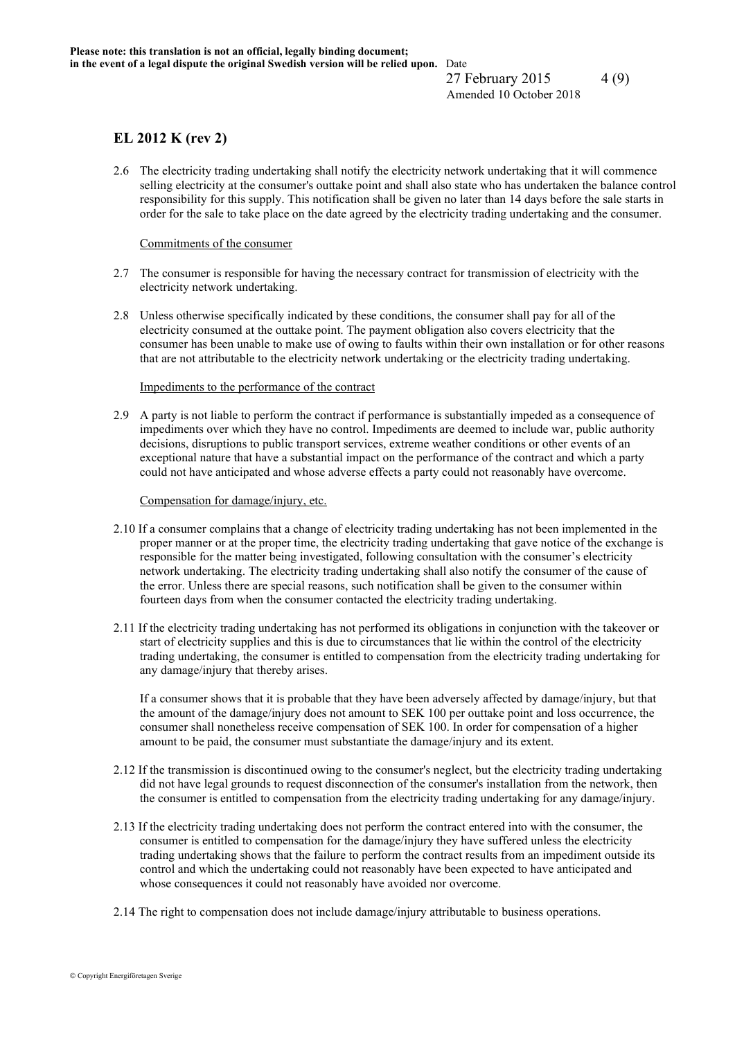27 February 2015 4 (9) Amended 10 October 2018

## **EL 2012 K (rev 2)**

2.6 The electricity trading undertaking shall notify the electricity network undertaking that it will commence selling electricity at the consumer's outtake point and shall also state who has undertaken the balance control responsibility for this supply. This notification shall be given no later than 14 days before the sale starts in order for the sale to take place on the date agreed by the electricity trading undertaking and the consumer.

#### Commitments of the consumer

- 2.7 The consumer is responsible for having the necessary contract for transmission of electricity with the electricity network undertaking.
- 2.8 Unless otherwise specifically indicated by these conditions, the consumer shall pay for all of the electricity consumed at the outtake point. The payment obligation also covers electricity that the consumer has been unable to make use of owing to faults within their own installation or for other reasons that are not attributable to the electricity network undertaking or the electricity trading undertaking.

#### Impediments to the performance of the contract

2.9 A party is not liable to perform the contract if performance is substantially impeded as a consequence of impediments over which they have no control. Impediments are deemed to include war, public authority decisions, disruptions to public transport services, extreme weather conditions or other events of an exceptional nature that have a substantial impact on the performance of the contract and which a party could not have anticipated and whose adverse effects a party could not reasonably have overcome.

#### Compensation for damage/injury, etc.

- 2.10 If a consumer complains that a change of electricity trading undertaking has not been implemented in the proper manner or at the proper time, the electricity trading undertaking that gave notice of the exchange is responsible for the matter being investigated, following consultation with the consumer's electricity network undertaking. The electricity trading undertaking shall also notify the consumer of the cause of the error. Unless there are special reasons, such notification shall be given to the consumer within fourteen days from when the consumer contacted the electricity trading undertaking.
- 2.11 If the electricity trading undertaking has not performed its obligations in conjunction with the takeover or start of electricity supplies and this is due to circumstances that lie within the control of the electricity trading undertaking, the consumer is entitled to compensation from the electricity trading undertaking for any damage/injury that thereby arises.

If a consumer shows that it is probable that they have been adversely affected by damage/injury, but that the amount of the damage/injury does not amount to SEK 100 per outtake point and loss occurrence, the consumer shall nonetheless receive compensation of SEK 100. In order for compensation of a higher amount to be paid, the consumer must substantiate the damage/injury and its extent.

- 2.12 If the transmission is discontinued owing to the consumer's neglect, but the electricity trading undertaking did not have legal grounds to request disconnection of the consumer's installation from the network, then the consumer is entitled to compensation from the electricity trading undertaking for any damage/injury.
- 2.13 If the electricity trading undertaking does not perform the contract entered into with the consumer, the consumer is entitled to compensation for the damage/injury they have suffered unless the electricity trading undertaking shows that the failure to perform the contract results from an impediment outside its control and which the undertaking could not reasonably have been expected to have anticipated and whose consequences it could not reasonably have avoided nor overcome.
- 2.14 The right to compensation does not include damage/injury attributable to business operations.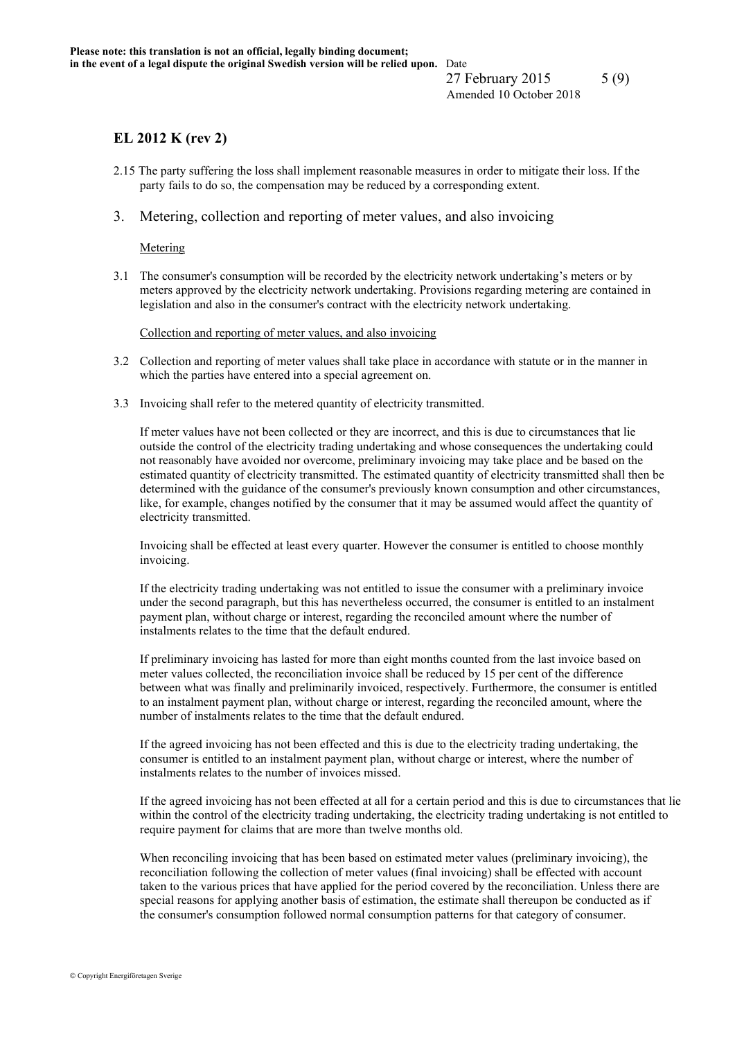## **EL 2012 K (rev 2)**

- 2.15 The party suffering the loss shall implement reasonable measures in order to mitigate their loss. If the party fails to do so, the compensation may be reduced by a corresponding extent.
- 3. Metering, collection and reporting of meter values, and also invoicing

Metering

3.1 The consumer's consumption will be recorded by the electricity network undertaking's meters or by meters approved by the electricity network undertaking. Provisions regarding metering are contained in legislation and also in the consumer's contract with the electricity network undertaking.

Collection and reporting of meter values, and also invoicing

- 3.2 Collection and reporting of meter values shall take place in accordance with statute or in the manner in which the parties have entered into a special agreement on.
- 3.3 Invoicing shall refer to the metered quantity of electricity transmitted.

If meter values have not been collected or they are incorrect, and this is due to circumstances that lie outside the control of the electricity trading undertaking and whose consequences the undertaking could not reasonably have avoided nor overcome, preliminary invoicing may take place and be based on the estimated quantity of electricity transmitted. The estimated quantity of electricity transmitted shall then be determined with the guidance of the consumer's previously known consumption and other circumstances, like, for example, changes notified by the consumer that it may be assumed would affect the quantity of electricity transmitted.

Invoicing shall be effected at least every quarter. However the consumer is entitled to choose monthly invoicing.

If the electricity trading undertaking was not entitled to issue the consumer with a preliminary invoice under the second paragraph, but this has nevertheless occurred, the consumer is entitled to an instalment payment plan, without charge or interest, regarding the reconciled amount where the number of instalments relates to the time that the default endured.

If preliminary invoicing has lasted for more than eight months counted from the last invoice based on meter values collected, the reconciliation invoice shall be reduced by 15 per cent of the difference between what was finally and preliminarily invoiced, respectively. Furthermore, the consumer is entitled to an instalment payment plan, without charge or interest, regarding the reconciled amount, where the number of instalments relates to the time that the default endured.

If the agreed invoicing has not been effected and this is due to the electricity trading undertaking, the consumer is entitled to an instalment payment plan, without charge or interest, where the number of instalments relates to the number of invoices missed.

If the agreed invoicing has not been effected at all for a certain period and this is due to circumstances that lie within the control of the electricity trading undertaking, the electricity trading undertaking is not entitled to require payment for claims that are more than twelve months old.

When reconciling invoicing that has been based on estimated meter values (preliminary invoicing), the reconciliation following the collection of meter values (final invoicing) shall be effected with account taken to the various prices that have applied for the period covered by the reconciliation. Unless there are special reasons for applying another basis of estimation, the estimate shall thereupon be conducted as if the consumer's consumption followed normal consumption patterns for that category of consumer.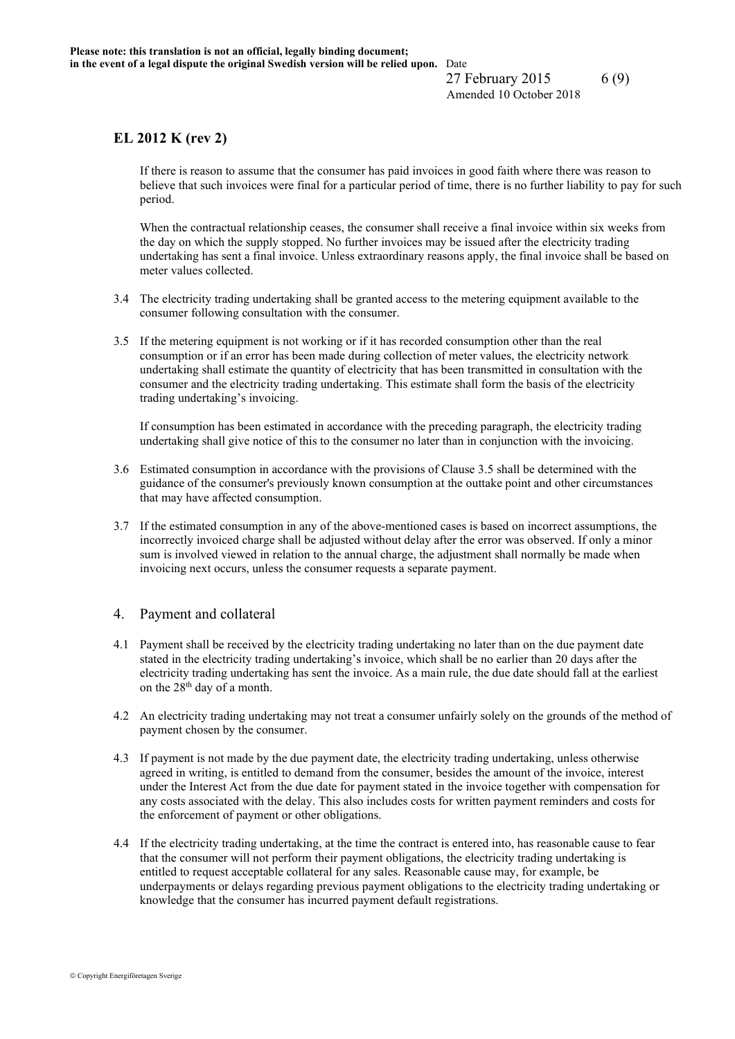27 February 2015 6 (9) Amended 10 October 2018

## **EL 2012 K (rev 2)**

If there is reason to assume that the consumer has paid invoices in good faith where there was reason to believe that such invoices were final for a particular period of time, there is no further liability to pay for such period.

When the contractual relationship ceases, the consumer shall receive a final invoice within six weeks from the day on which the supply stopped. No further invoices may be issued after the electricity trading undertaking has sent a final invoice. Unless extraordinary reasons apply, the final invoice shall be based on meter values collected.

- 3.4 The electricity trading undertaking shall be granted access to the metering equipment available to the consumer following consultation with the consumer.
- 3.5 If the metering equipment is not working or if it has recorded consumption other than the real consumption or if an error has been made during collection of meter values, the electricity network undertaking shall estimate the quantity of electricity that has been transmitted in consultation with the consumer and the electricity trading undertaking. This estimate shall form the basis of the electricity trading undertaking's invoicing.

If consumption has been estimated in accordance with the preceding paragraph, the electricity trading undertaking shall give notice of this to the consumer no later than in conjunction with the invoicing.

- 3.6 Estimated consumption in accordance with the provisions of Clause 3.5 shall be determined with the guidance of the consumer's previously known consumption at the outtake point and other circumstances that may have affected consumption.
- 3.7 If the estimated consumption in any of the above-mentioned cases is based on incorrect assumptions, the incorrectly invoiced charge shall be adjusted without delay after the error was observed. If only a minor sum is involved viewed in relation to the annual charge, the adjustment shall normally be made when invoicing next occurs, unless the consumer requests a separate payment.

## 4. Payment and collateral

- 4.1 Payment shall be received by the electricity trading undertaking no later than on the due payment date stated in the electricity trading undertaking's invoice, which shall be no earlier than 20 days after the electricity trading undertaking has sent the invoice. As a main rule, the due date should fall at the earliest on the  $28<sup>th</sup>$  day of a month.
- 4.2 An electricity trading undertaking may not treat a consumer unfairly solely on the grounds of the method of payment chosen by the consumer.
- 4.3 If payment is not made by the due payment date, the electricity trading undertaking, unless otherwise agreed in writing, is entitled to demand from the consumer, besides the amount of the invoice, interest under the Interest Act from the due date for payment stated in the invoice together with compensation for any costs associated with the delay. This also includes costs for written payment reminders and costs for the enforcement of payment or other obligations.
- 4.4 If the electricity trading undertaking, at the time the contract is entered into, has reasonable cause to fear that the consumer will not perform their payment obligations, the electricity trading undertaking is entitled to request acceptable collateral for any sales. Reasonable cause may, for example, be underpayments or delays regarding previous payment obligations to the electricity trading undertaking or knowledge that the consumer has incurred payment default registrations.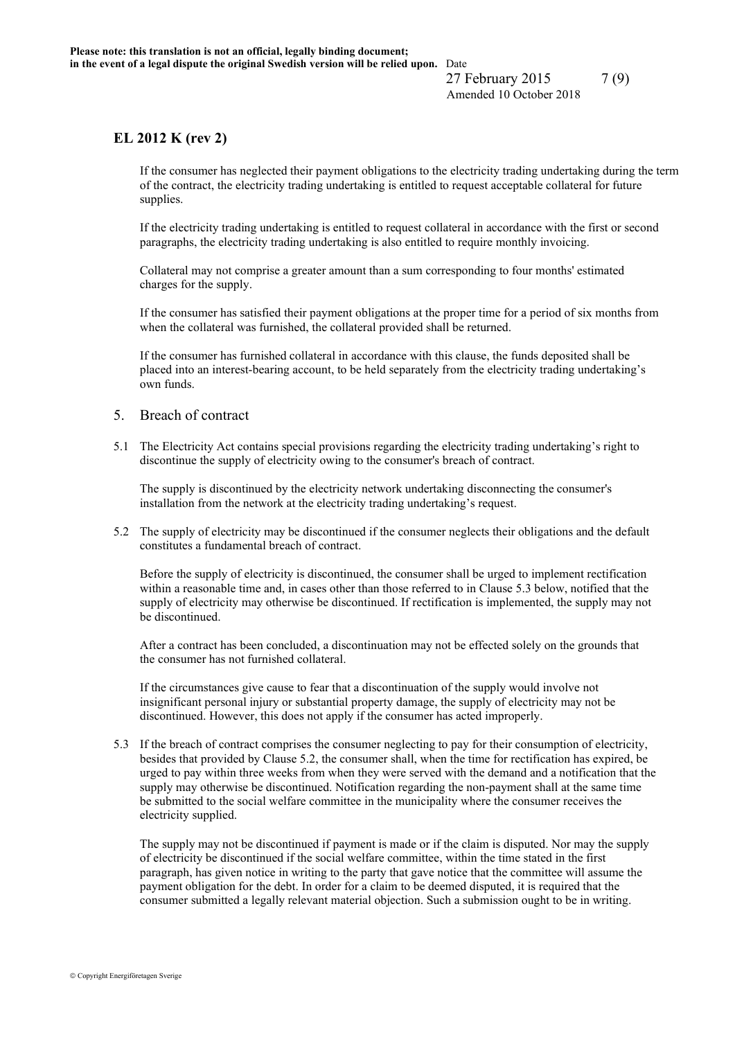27 February 2015 7(9) Amended 10 October 2018

## **EL 2012 K (rev 2)**

If the consumer has neglected their payment obligations to the electricity trading undertaking during the term of the contract, the electricity trading undertaking is entitled to request acceptable collateral for future supplies.

If the electricity trading undertaking is entitled to request collateral in accordance with the first or second paragraphs, the electricity trading undertaking is also entitled to require monthly invoicing.

Collateral may not comprise a greater amount than a sum corresponding to four months' estimated charges for the supply.

If the consumer has satisfied their payment obligations at the proper time for a period of six months from when the collateral was furnished, the collateral provided shall be returned.

If the consumer has furnished collateral in accordance with this clause, the funds deposited shall be placed into an interest-bearing account, to be held separately from the electricity trading undertaking's own funds.

### 5. Breach of contract

5.1 The Electricity Act contains special provisions regarding the electricity trading undertaking's right to discontinue the supply of electricity owing to the consumer's breach of contract.

The supply is discontinued by the electricity network undertaking disconnecting the consumer's installation from the network at the electricity trading undertaking's request.

5.2 The supply of electricity may be discontinued if the consumer neglects their obligations and the default constitutes a fundamental breach of contract.

Before the supply of electricity is discontinued, the consumer shall be urged to implement rectification within a reasonable time and, in cases other than those referred to in Clause 5.3 below, notified that the supply of electricity may otherwise be discontinued. If rectification is implemented, the supply may not be discontinued.

After a contract has been concluded, a discontinuation may not be effected solely on the grounds that the consumer has not furnished collateral.

If the circumstances give cause to fear that a discontinuation of the supply would involve not insignificant personal injury or substantial property damage, the supply of electricity may not be discontinued. However, this does not apply if the consumer has acted improperly.

5.3 If the breach of contract comprises the consumer neglecting to pay for their consumption of electricity, besides that provided by Clause 5.2, the consumer shall, when the time for rectification has expired, be urged to pay within three weeks from when they were served with the demand and a notification that the supply may otherwise be discontinued. Notification regarding the non-payment shall at the same time be submitted to the social welfare committee in the municipality where the consumer receives the electricity supplied.

The supply may not be discontinued if payment is made or if the claim is disputed. Nor may the supply of electricity be discontinued if the social welfare committee, within the time stated in the first paragraph, has given notice in writing to the party that gave notice that the committee will assume the payment obligation for the debt. In order for a claim to be deemed disputed, it is required that the consumer submitted a legally relevant material objection. Such a submission ought to be in writing.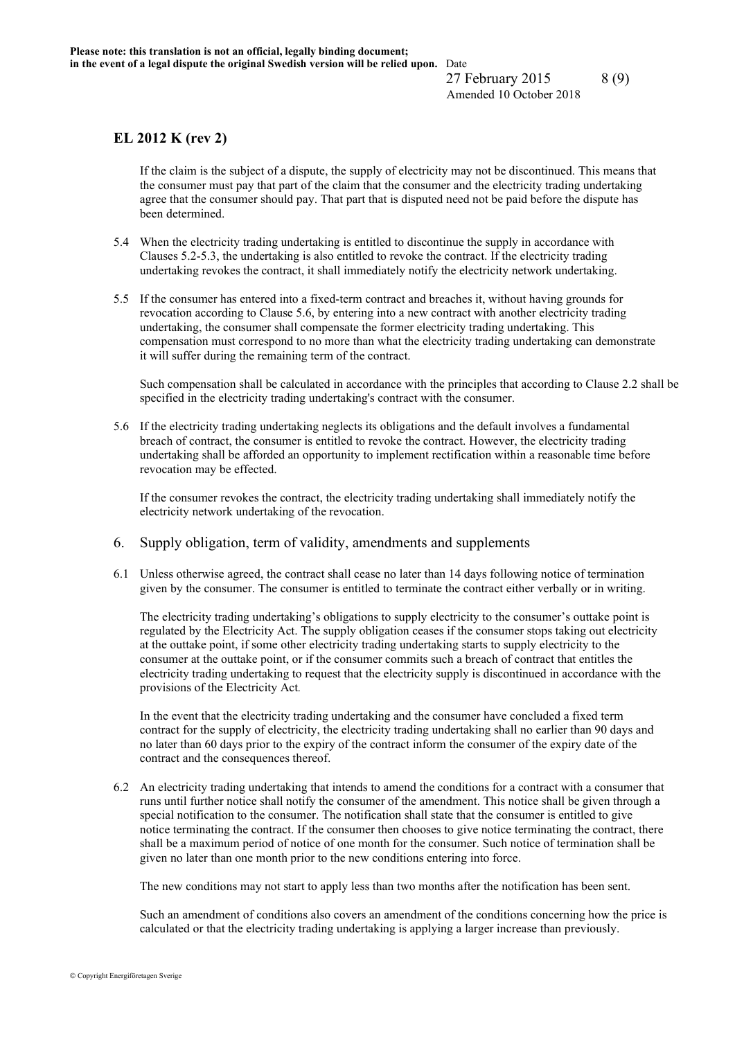27 February 2015 8 (9) Amended 10 October 2018

# **EL 2012 K (rev 2)**

If the claim is the subject of a dispute, the supply of electricity may not be discontinued. This means that the consumer must pay that part of the claim that the consumer and the electricity trading undertaking agree that the consumer should pay. That part that is disputed need not be paid before the dispute has been determined.

- 5.4 When the electricity trading undertaking is entitled to discontinue the supply in accordance with Clauses 5.2-5.3, the undertaking is also entitled to revoke the contract. If the electricity trading undertaking revokes the contract, it shall immediately notify the electricity network undertaking.
- 5.5 If the consumer has entered into a fixed-term contract and breaches it, without having grounds for revocation according to Clause 5.6, by entering into a new contract with another electricity trading undertaking, the consumer shall compensate the former electricity trading undertaking. This compensation must correspond to no more than what the electricity trading undertaking can demonstrate it will suffer during the remaining term of the contract.

Such compensation shall be calculated in accordance with the principles that according to Clause 2.2 shall be specified in the electricity trading undertaking's contract with the consumer.

5.6 If the electricity trading undertaking neglects its obligations and the default involves a fundamental breach of contract, the consumer is entitled to revoke the contract. However, the electricity trading undertaking shall be afforded an opportunity to implement rectification within a reasonable time before revocation may be effected.

If the consumer revokes the contract, the electricity trading undertaking shall immediately notify the electricity network undertaking of the revocation.

- 6. Supply obligation, term of validity, amendments and supplements
- 6.1 Unless otherwise agreed, the contract shall cease no later than 14 days following notice of termination given by the consumer. The consumer is entitled to terminate the contract either verbally or in writing.

The electricity trading undertaking's obligations to supply electricity to the consumer's outtake point is regulated by the Electricity Act. The supply obligation ceases if the consumer stops taking out electricity at the outtake point, if some other electricity trading undertaking starts to supply electricity to the consumer at the outtake point, or if the consumer commits such a breach of contract that entitles the electricity trading undertaking to request that the electricity supply is discontinued in accordance with the provisions of the Electricity Act*.*

In the event that the electricity trading undertaking and the consumer have concluded a fixed term contract for the supply of electricity, the electricity trading undertaking shall no earlier than 90 days and no later than 60 days prior to the expiry of the contract inform the consumer of the expiry date of the contract and the consequences thereof.

6.2 An electricity trading undertaking that intends to amend the conditions for a contract with a consumer that runs until further notice shall notify the consumer of the amendment. This notice shall be given through a special notification to the consumer. The notification shall state that the consumer is entitled to give notice terminating the contract. If the consumer then chooses to give notice terminating the contract, there shall be a maximum period of notice of one month for the consumer. Such notice of termination shall be given no later than one month prior to the new conditions entering into force.

The new conditions may not start to apply less than two months after the notification has been sent.

Such an amendment of conditions also covers an amendment of the conditions concerning how the price is calculated or that the electricity trading undertaking is applying a larger increase than previously.